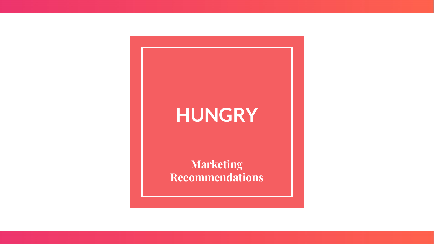#### **HUNGRY**

**Marketing Recommendations**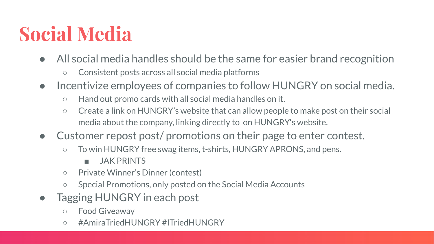#### **Social Media**

- All social media handles should be the same for easier brand recognition
	- Consistent posts across all social media platforms
- Incentivize employees of companies to follow HUNGRY on social media.
	- Hand out promo cards with all social media handles on it.
	- Create a link on HUNGRY's website that can allow people to make post on their social media about the company, linking directly to on HUNGRY's website.
- Customer repost post/ promotions on their page to enter contest.
	- To win HUNGRY free swag items, t-shirts, HUNGRY APRONS, and pens.
		- JAK PRINTS
	- Private Winner's Dinner (contest)
	- Special Promotions, only posted on the Social Media Accounts
- Tagging HUNGRY in each post
	- Food Giveaway
	- #AmiraTriedHUNGRY #ITriedHUNGRY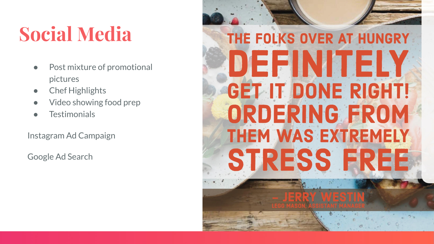#### **Social Media**

- Post mixture of promotional pictures
- **Chef Highlights**
- Video showing food prep
- **Testimonials**

Instagram Ad Campaign

Google Ad Search

# THE FOLKS OVER AT HUNGRY DEFINITELY **GET IT DONE RIGHT!** ORDERING FROM **THEM WAS EXTREMELY STRESS FREE**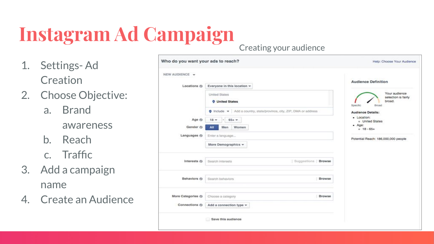# **Instagram Ad Campaign**

- 1. Settings- Ad **Creation**
- 2. Choose Objective:
	- a. Brand
		- awareness
	- b. Reach
	- c. Traffic
- 3. Add a campaign name
- 4. Create an Audience

#### Creating your audience

| Who do you want your ads to reach? |                                                                      | Help: Choose Your Audience                                          |
|------------------------------------|----------------------------------------------------------------------|---------------------------------------------------------------------|
| NEW AUDIENCE -                     |                                                                      |                                                                     |
| Locations @                        | Everyone in this location =                                          | <b>Audience Definition</b>                                          |
|                                    | <b>United States</b><br><b>O</b> United States                       | Your audience<br>selection is fairly<br>broad.<br>Specific<br>Broad |
|                                    | O Include v Add a country, state/province, city, ZIP, DMA or address | Audience Details:                                                   |
| Age O                              | $18 -$<br>$65 + -$<br>$-1$                                           | · Location:<br>o United States                                      |
| Gender ()                          | Women<br>Men<br>All                                                  | $-$ Age:<br>$0.18 - 65 +$                                           |
| Languages ()                       | Enter a language                                                     | Potential Reach: 186,000,000 people                                 |
|                                    | More Demographics =                                                  |                                                                     |
| Interests O                        | Supportions   Browse<br>Search interests                             |                                                                     |
| Behaviors O                        | <b>Browse</b><br>Search behaviors                                    |                                                                     |
| More Categories O                  | Choose a category<br>Browse                                          |                                                                     |
| Connections ()                     | Add a connection type =                                              |                                                                     |
|                                    |                                                                      |                                                                     |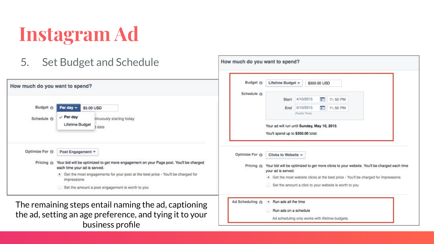### **Instagram Ad**

5. Set Budget and Schedule

| How much do you want to spend? |                                                                                                                                                                                                                                                                                                                | Budget @                    | Lifetime Budget =<br>\$350,00 USD                                                                                                                                                                                                                                                             |  |
|--------------------------------|----------------------------------------------------------------------------------------------------------------------------------------------------------------------------------------------------------------------------------------------------------------------------------------------------------------|-----------------------------|-----------------------------------------------------------------------------------------------------------------------------------------------------------------------------------------------------------------------------------------------------------------------------------------------|--|
| Budget @<br>Schedule (1)       | \$5.00 USD<br>Per day $\sim$<br>$\vee$ Per day<br>Itinuously starting today<br>Lifetime Budget<br>date                                                                                                                                                                                                         | Schedule @                  | 4/10/2015<br><b>COM</b><br>Start<br>11:50 PM<br>$\frac{1}{2}$ 11:50 PM<br>5/10/2015<br>End<br>(Pacific Time)<br>Your ad will run until Sunday, May 10, 2015.<br>You'll spend up to \$350.00 total.                                                                                            |  |
| Optimize For ()                | Post Engagement v<br>Pricing @ Your bid will be optimized to get more engagement on your Page post. You'll be charged<br>each time your ad is served.<br>. Get the most engagements for your post at the best price - You'll be charged for<br>impressions<br>Set the amount a post engagement is worth to you | Optimize For @<br>Pricing @ | Clicks to Website $\sim$<br>Your bid will be optimized to get more clicks to your website. You'll be charged each time<br>your ad is served.<br>. Get the most website clicks at the best price - You'll be charged for impressions<br>Set the amount a click to your website is worth to you |  |
|                                | The remaining steps entail naming the ad, captioning<br>the ad, setting an age preference, and tying it to your<br>business profile                                                                                                                                                                            | Ad Scheduling @             | . Run ads all the time<br>Run ads on a schedule<br>Ad scheduling only works with lifetime budgets.                                                                                                                                                                                            |  |

How much do you want to spend?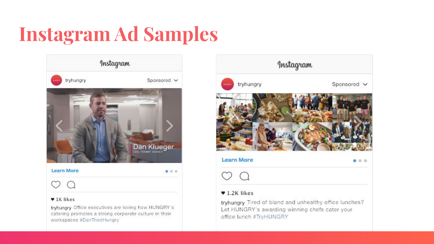## **Instagram Ad Samples**



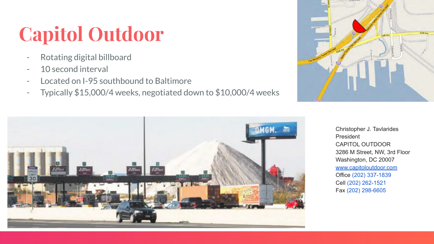## **Capitol Outdoor**

- Rotating digital billboard
- 10 second interval
- Located on I-95 southbound to Baltimore
- Typically \$15,000/4 weeks, negotiated down to \$10,000/4 weeks





Christopher J. Tavlarides President CAPITOL OUTDOOR 3286 M Street, NW, 3rd Floor Washington, DC 20007 [www.capitoloutdoor.com](http://www.capitoloutdoor.com/) Office (202) 337-1839 Cell (202) 262-1521 Fax (202) 298-6605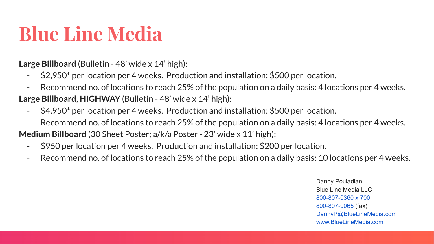#### **Blue Line Media**

**Large Billboard** (Bulletin - 48' wide x 14' high):

- \$2,950\* per location per 4 weeks. Production and installation: \$500 per location.
- Recommend no. of locations to reach 25% of the population on a daily basis: 4 locations per 4 weeks.
- **Large Billboard, HIGHWAY** (Bulletin 48' wide x 14' high):
	- \$4,950\* per location per 4 weeks. Production and installation: \$500 per location.
	- Recommend no. of locations to reach 25% of the population on a daily basis: 4 locations per 4 weeks.

**Medium Billboard** (30 Sheet Poster; a/k/a Poster - 23' wide x 11' high):

- \$950 per location per 4 weeks. Production and installation: \$200 per location.
- Recommend no. of locations to reach 25% of the population on a daily basis: 10 locations per 4 weeks.

Danny Pouladian Blue Line Media LLC 800-807-0360 x 700 800-807-0065 (fax) DannyP@BlueLineMedia.com [www.BlueLineMedia.com](http://www.bluelinemedia.com/)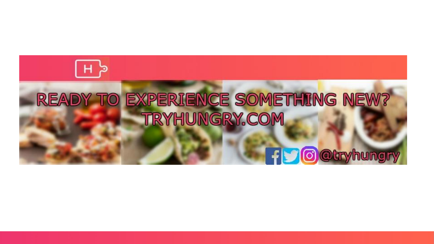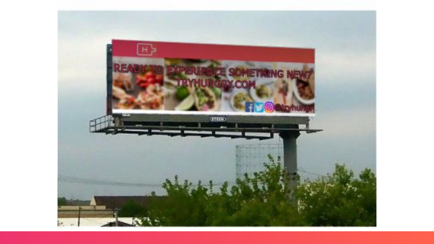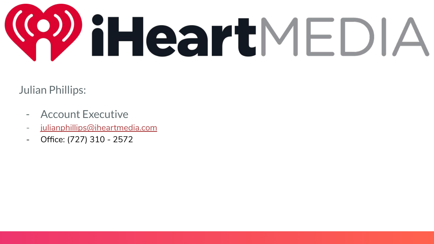

Julian Phillips:

- Account Executive
- [julianphillips@iheartmedia.com](mailto:julianphillips@iheartmedia.com)
- Office: (727) 310 2572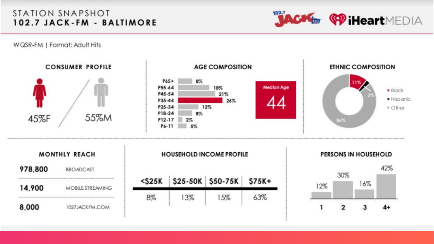#### STATION SNAPSHOT 102.7 JACK-FM - BALTIMORE



WQSR-FM | Format: Adult Hits

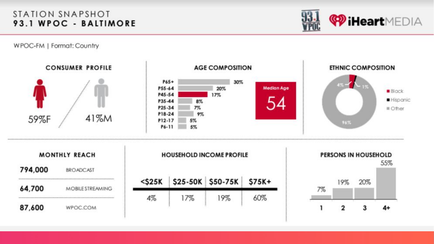#### STATION SNAPSHOT **93.1 WPOC - BALTIMORE**<br>WPOC-FM | Format: Country

**<sup>CO</sup>** iHeartMEDIA

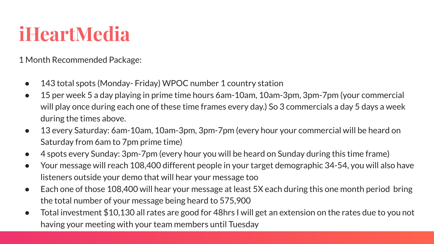#### **iHeartMedia**

1 Month Recommended Package:

- 143 total spots (Monday- Friday) WPOC number 1 country station
- 15 per week 5 a day playing in prime time hours 6am-10am, 10am-3pm, 3pm-7pm (your commercial will play once during each one of these time frames every day.) So 3 commercials a day 5 days a week during the times above.
- 13 every Saturday: 6am-10am, 10am-3pm, 3pm-7pm (every hour your commercial will be heard on Saturday from 6am to 7pm prime time)
- 4 spots every Sunday: 3pm-7pm (every hour you will be heard on Sunday during this time frame)
- Your message will reach 108,400 different people in your target demographic 34-54, you will also have listeners outside your demo that will hear your message too
- Each one of those 108,400 will hear your message at least 5X each during this one month period bring the total number of your message being heard to 575,900
- Total investment \$10,130 all rates are good for 48hrs I will get an extension on the rates due to you not having your meeting with your team members until Tuesday